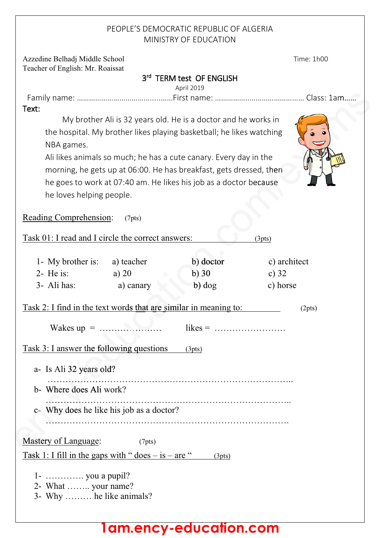### PEOPLE'S DEMOCRATIC REPUBLIC OF ALGERIA MINISTRY OF EDUCATION

Azzedine Belhadj Middle School Time: 1h00 Teacher of English: Mr. Roaissat

3<sup>rd</sup> TERM test OF ENGLISH

April 2019

Family name: ……………………………….....……First name: ……………..……………………… Class: 1am…… sText: My brother Ali is 32 years old. He is a doctor and he works in

the hospital. My brother likes playing basketball; he likes watching NBA games. Ali likes animals so much; he has a cute canary. Every day in the

morning, he gets up at 06:00. He has breakfast, gets dressed, then he goes to work at 07:40 am. He likes his job as a doctor because he loves helping people.

Reading Comprehension: (7pts)

Task 01: I read and I circle the correct answers: (3pts) 1- My brother is: a) teacher b) doctor c) architect 2- He is: a) 20 b) 30 c) 32 3- Ali has: a) canary b) dog c) horse Task 2: I find in the text words that are similar in meaning to:  $(2pts)$ Wakes up = ………………… likes = …………………… …………………ca Task 3: I answer the following questions (3pts) a- Is Ali 32 years old? ……………………………………………………………………….. ………………… b- Where does Ali work? ……………………………………………………………………….. …………… c- Why does he like his job as a doctor? c- ………………………………………………………………………. ……… Mastery of Language:(7pts) Mas Mastery of Language: (7pts)<br>Task 1: I fill in the gaps with " does – is – are " (3pts)  $1 - \dots \dots \dots$  you a pupil? 2- What …….. your name? 3- Why ……… he like animals? ency-education.com/examsam……  $\overline{c}$  b) doctor b) 30  $b)$  dog nswer the followir<br>li 32 years old?

# **1am.ency-education.com**